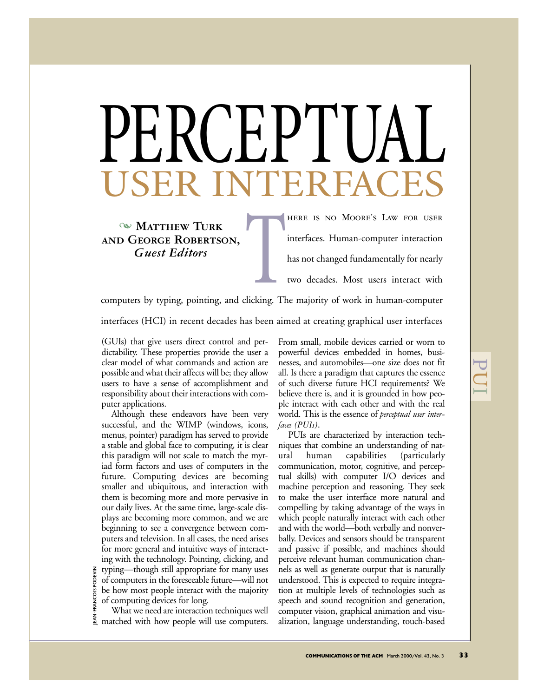## RCEPT RINT

**WATTHEW TURK and George Robertson,** *Guest Editors*

The Chicking. The Chicking. The Chicking of the Chicking of the Chicago of the Chicago of the Chicago of the Chicago of the Chicago of the Chicago of the Chicago of the Chicago of the Chicago of the Chicago of the Chicago here is no Moore's Law for user interfaces. Human-computer interaction has not changed fundamentally for nearly two decades. Most users interact with

computers by typing, pointing, and clicking. The majority of work in human-computer interfaces (HCI) in recent decades has been aimed at creating graphical user interfaces

(GUIs) that give users direct control and perdictability. These properties provide the user a clear model of what commands and action are possible and what their affects will be; they allow users to have a sense of accomplishment and responsibility about their interactions with computer applications.

Although these endeavors have been very successful, and the WIMP (windows, icons, menus, pointer) paradigm has served to provide a stable and global face to computing, it is clear this paradigm will not scale to match the myriad form factors and uses of computers in the future. Computing devices are becoming smaller and ubiquitous, and interaction with them is becoming more and more pervasive in our daily lives. At the same time, large-scale displays are becoming more common, and we are beginning to see a convergence between computers and television. In all cases, the need arises for more general and intuitive ways of interacting with the technology. Pointing, clicking, and typing—though still appropriate for many uses of computers in the foreseeable future—will not be how most people interact with the majority of computing devices for long.

FRANCOIS PODEVIN ZINJQQ SIQUNYAL-NYIJ What we need are interaction techniques well matched with how people will use computers.

From small, mobile devices carried or worn to powerful devices embedded in homes, businesses, and automobiles—one size does not fit all. Is there a paradigm that captures the essence of such diverse future HCI requirements? We believe there is, and it is grounded in how people interact with each other and with the real world. This is the essence of *perceptual user interfaces (PUIs)*.

 $\overline{\mathbf{C}}$  $\overline{\mathsf{C}}$  $\overline{}$ 

PUIs are characterized by interaction techniques that combine an understanding of natural human capabilities (particularly communication, motor, cognitive, and perceptual skills) with computer I/O devices and machine perception and reasoning. They seek to make the user interface more natural and compelling by taking advantage of the ways in which people naturally interact with each other and with the world—both verbally and nonverbally. Devices and sensors should be transparent and passive if possible, and machines should perceive relevant human communication channels as well as generate output that is naturally understood. This is expected to require integration at multiple levels of technologies such as speech and sound recognition and generation, computer vision, graphical animation and visualization, language understanding, touch-based